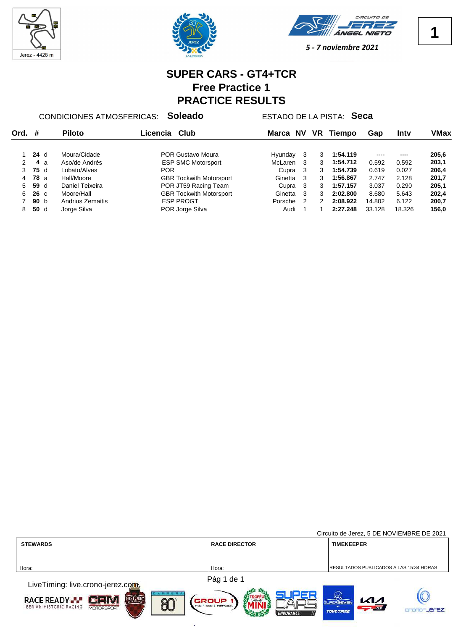





## **SUPER CARS - GT4+TCR Free Practice 1 PRACTICE RESULTS**

CONDICIONES ATMOSFERICAS: **Soleado** ESTADO DE LA PISTA: **Seca**

| Ord.          | #           |                 | <b>Piloto</b>    | Club<br>Licencia               | Marca   | NV            | VR | <b>Tiempo</b> | Gap    | Intv   | VMax  |
|---------------|-------------|-----------------|------------------|--------------------------------|---------|---------------|----|---------------|--------|--------|-------|
|               |             | 24d             | Moura/Cidade     | POR Gustavo Moura              | Hyunday |               | 3  | 1:54.119      |        |        | 205,6 |
| $\mathcal{P}$ |             | 4а              | Aso/de Andrés    | <b>ESP SMC Motorsport</b>      | McLaren | - 3           | 3  | 1:54.712      | 0.592  | 0.592  | 203,1 |
| 3             |             | 75 d            | Lobato/Alves     | <b>POR</b>                     | Cupra   | - 3           | 3  | 1:54.739      | 0.619  | 0.027  | 206,4 |
| 4             | <b>78</b> a |                 | Hall/Moore       | <b>GBR Tockwith Motorsport</b> | Ginetta | - 3           | 3  | 1:56.867      | 2.747  | 2.128  | 201,7 |
| 5             | 59 d        |                 | Daniel Teixeira  | POR JT59 Racing Team           | Cupra   | - 3           | 3  | 1:57.157      | 3.037  | 0.290  | 205,1 |
| 6             |             | $26\,c$         | Moore/Hall       | <b>GBR Tockwith Motorsport</b> | Ginetta | -3            | 3  | 2:02.800      | 8.680  | 5.643  | 202,4 |
|               |             | 90 <sub>b</sub> | Andrius Zemaitis | <b>ESP PROGT</b>               | Porsche | $\mathcal{P}$ | 2  | 2:08.922      | 14.802 | 6.122  | 200,7 |
| 8.            |             | 50d             | Jorge Silva      | POR Jorge Silva                | Audi    |               |    | 2:27.248      | 33.128 | 18.326 | 156,0 |

|                                                                                                             |                                       | Circuito de Jerez, 5 DE NOVIEMBRE DE 2021                                      |  |  |
|-------------------------------------------------------------------------------------------------------------|---------------------------------------|--------------------------------------------------------------------------------|--|--|
| <b>STEWARDS</b>                                                                                             | <b>RACE DIRECTOR</b>                  | <b>TIMEKEEPER</b>                                                              |  |  |
|                                                                                                             |                                       |                                                                                |  |  |
| Hora:                                                                                                       | Hora:                                 | RESULTADOS PUBLICADOS A LAS 15:34 HORAS                                        |  |  |
|                                                                                                             | Pág 1 de 1                            |                                                                                |  |  |
| LiveTiming: live.crono-jerez.com                                                                            |                                       |                                                                                |  |  |
| <b>HISTORIC</b><br>RACE READY.<br>$G \equiv W$<br>இி<br><b>IBERIAN HISTORIC RACING</b><br><b>MOTOESPORT</b> | GROUP<br><b>PRE - 1982   PORTUGAL</b> | (1977<br>$\mathcal{K}$<br><b>SUPERSEVEN</b><br>$\sim$ $\sim$ $\alpha$ $\alpha$ |  |  |
|                                                                                                             | <b>ENDURANCE</b>                      | <b>LECEZ</b><br><b>TOVOTIREE</b>                                               |  |  |

度

**1**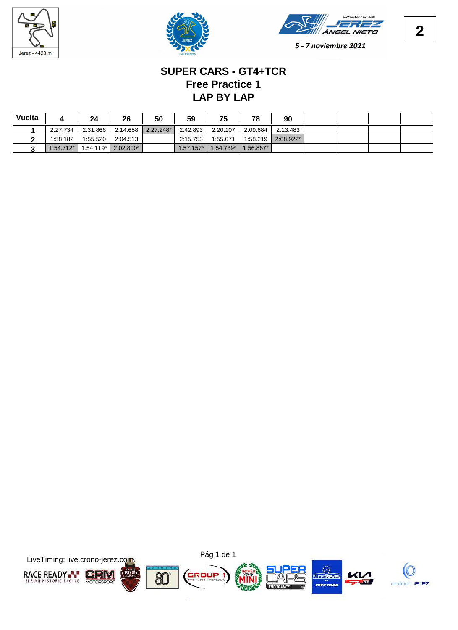





# **LAP BY LAP Free Practice 1 SUPER CARS - GT4+TCR**

| Vuelta |             | 24          | 26        | 50          | 59          | 75          | 78          | 90          |  |  |
|--------|-------------|-------------|-----------|-------------|-------------|-------------|-------------|-------------|--|--|
|        | 2:27.734    | 2:31.866    | 2:14.658  | $2:27.248*$ | 2:42.893    | 2:20.107    | 2:09.684    | 2:13.483    |  |  |
|        | 1:58.182    | 1.55.520    | 2:04.513  |             | 2:15.753    | 1:55.071    | 1:58.219    | $2:08.922*$ |  |  |
|        | $1:54.712*$ | $1:54.119*$ | 2:02.800* |             | $1:57.157*$ | $1:54.739*$ | $1:56.867*$ |             |  |  |

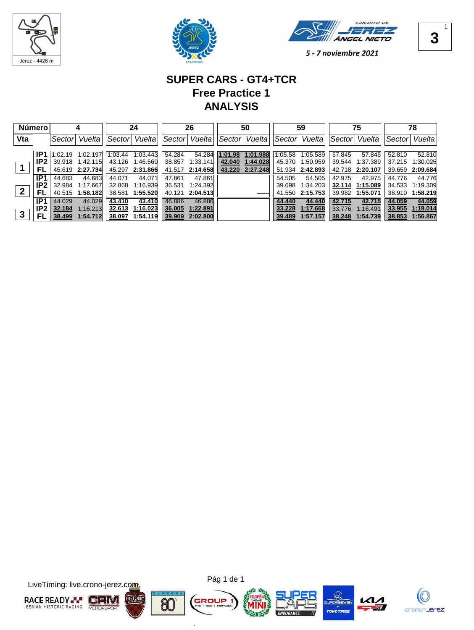





### **SUPER CARS - GT4+TCR Free Practice 1 ANALYSIS**

| Número <sup>!</sup> |                 |        |                  | 24        |                    | 26       |                 | 50      |                 | 59     |                  | 75     |                 | 78            |                 |
|---------------------|-----------------|--------|------------------|-----------|--------------------|----------|-----------------|---------|-----------------|--------|------------------|--------|-----------------|---------------|-----------------|
| Vta                 |                 | Sector | Vueltal          | ∣Sector I | Vuelta             | ∣Sector∣ | Vuelta          |         | Sector   Vuelta | Sector | Vuelta           |        | Sector  Vuelta  | Sector Vuelta |                 |
|                     | IP1             |        | 1:02.19 1:02.197 |           | $1:03.44$ 1:03.443 | 54.284   | 54.284          | 1:01.98 | 1:01.988        |        | 1:05.58 1:05.589 | 57.845 | 57.845          | 52.810        | 52.810          |
|                     | IP <sub>2</sub> |        | 39.918 1:42.115  |           | 43.126 1:46.569    | 38.857   | 1:33.141        | 42.040  | 1:44.028        | 45.370 | 1:50.959         | 39.544 | 1:37.389        |               | 37.215 1:30.025 |
|                     |                 |        | 45.619 2:27.734  |           | 45.297 2:31.866    |          | 41.517 2:14.658 | 43.220  | 2:27.248        |        | 51.934 2:42.893  |        | 42.718 2:20.107 |               | 39.659 2:09.684 |
|                     | IP1             | 44.683 | 44.683           | 44.071    | 44.071             | 47.861   | 47.861          |         |                 | 54.505 | 54.505           | 42.975 | 42.975          | 44.776        | 44.776          |
|                     | IP <sub>2</sub> | 32.984 | 1.17.667         | 32.868    | 1:16.939           | 36.531   | 1:24.392        |         |                 | 39.698 | 1:34.203         | 32.114 | 1:15.089        | 34.533        | 1.19.309        |
| $\overline{2}$      | FL              |        | 40.515 1:58.182  | 38.581    | 1:55.520           | 40.121   | 2:04.513        |         | ------          | 41.550 | 2:15.753         | 39.982 | 1:55.071        | 38.910        | 1:58.219        |
|                     | IP <sub>1</sub> | 44.029 | 44.029           | 43.410    | 43.410             | 46.886   | 46.886          |         |                 | 44.440 | 44.440           | 42.715 | 42.715          | 44.059        | 44.059          |
|                     | IP <sub>2</sub> | 32.184 | 1:16.213         | 32.613    | 1:16.023           | 36.005   | 1:22.891        |         |                 | 33.228 | 1:17.668         | 33,776 | 1:16.491        | 33.955        | 1:18.014        |
| $\mathbf{3}$        | FL              | 38.499 | 1:54.712         | 38.097    | 1:54.119           | 39.909   | 2:02.800        |         |                 | 39.489 | 1:57.157         | 38.248 | 1:54.739        | 38.853        | 1:56.867        |



×.

1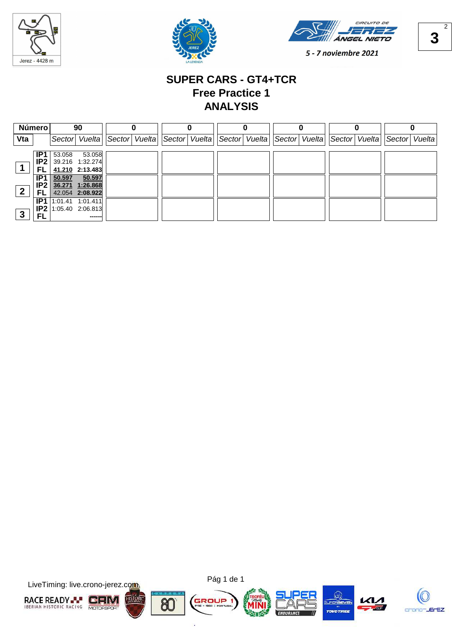





**3** 2

5 - 7 noviembre 2021

### **SUPER CARS - GT4+TCR Free Practice 1 ANALYSIS**

| Número         |                 | 90     |                          |  |               |  |               |  |               |  |               |               |  |                |  |
|----------------|-----------------|--------|--------------------------|--|---------------|--|---------------|--|---------------|--|---------------|---------------|--|----------------|--|
| Vta            |                 |        | Sector Vuelta            |  | Sector Vuelta |  | Sector Vuelta |  | Sector Vuelta |  | Sector Vuelta | Sector Vuelta |  | Sector  Vuelta |  |
|                | IP <sub>1</sub> | 53.058 | 53.058                   |  |               |  |               |  |               |  |               |               |  |                |  |
|                | IP <sub>2</sub> |        | 39.216 1:32.274          |  |               |  |               |  |               |  |               |               |  |                |  |
|                | FL              |        | 41.210 2.13.483          |  |               |  |               |  |               |  |               |               |  |                |  |
|                | IP <sub>1</sub> | 50.597 | 50.597                   |  |               |  |               |  |               |  |               |               |  |                |  |
| $\overline{2}$ |                 |        | IP2 36.271 1:26.868      |  |               |  |               |  |               |  |               |               |  |                |  |
|                | FL              |        | 42.054 2:08.922          |  |               |  |               |  |               |  |               |               |  |                |  |
|                | IP <sub>1</sub> |        | $1:01.41$ 1:01.411       |  |               |  |               |  |               |  |               |               |  |                |  |
| $\mathbf{3}$   |                 |        | $IP2$   1:05.40 2:06.813 |  |               |  |               |  |               |  |               |               |  |                |  |
|                | <b>FL</b>       |        | ------                   |  |               |  |               |  |               |  |               |               |  |                |  |



×.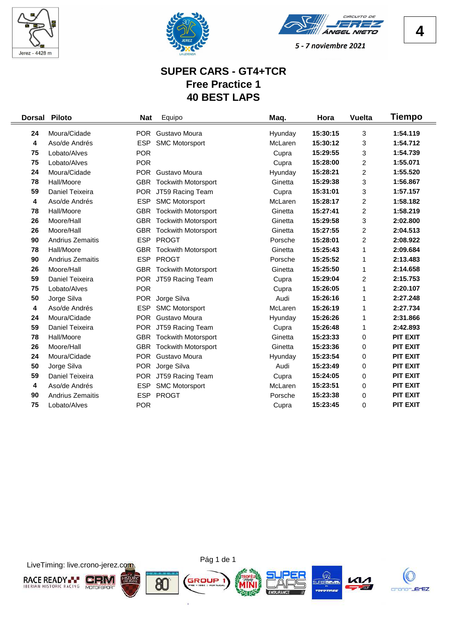





### **SUPER CARS - GT4+TCR Free Practice 1 40 BEST LAPS**

|    | Dorsal Piloto    | <b>Nat</b> | Equipo                         | Maq.    | Hora     | <b>Vuelta</b>  | <b>Tiempo</b>   |
|----|------------------|------------|--------------------------------|---------|----------|----------------|-----------------|
| 24 | Moura/Cidade     |            | POR Gustavo Moura              | Hyunday | 15:30:15 | 3              | 1:54.119        |
| 4  | Aso/de Andrés    | <b>ESP</b> | <b>SMC Motorsport</b>          | McLaren | 15:30:12 | 3              | 1:54.712        |
| 75 | Lobato/Alves     | <b>POR</b> |                                | Cupra   | 15:29:55 | 3              | 1:54.739        |
| 75 | Lobato/Alves     | <b>POR</b> |                                | Cupra   | 15:28:00 | 2              | 1:55.071        |
| 24 | Moura/Cidade     |            | POR Gustavo Moura              | Hyunday | 15:28:21 | 2              | 1:55.520        |
| 78 | Hall/Moore       |            | <b>GBR</b> Tockwith Motorsport | Ginetta | 15:29:38 | 3              | 1:56.867        |
| 59 | Daniel Teixeira  | <b>POR</b> | JT59 Racing Team               | Cupra   | 15:31:01 | 3              | 1:57.157        |
| 4  | Aso/de Andrés    | <b>ESP</b> | <b>SMC Motorsport</b>          | McLaren | 15:28:17 | $\overline{c}$ | 1:58.182        |
| 78 | Hall/Moore       | <b>GBR</b> | <b>Tockwith Motorsport</b>     | Ginetta | 15:27:41 | 2              | 1:58.219        |
| 26 | Moore/Hall       | <b>GBR</b> | <b>Tockwith Motorsport</b>     | Ginetta | 15:29:58 | 3              | 2:02.800        |
| 26 | Moore/Hall       | <b>GBR</b> | <b>Tockwith Motorsport</b>     | Ginetta | 15:27:55 | 2              | 2:04.513        |
| 90 | Andrius Zemaitis | <b>ESP</b> | <b>PROGT</b>                   | Porsche | 15:28:01 | 2              | 2:08.922        |
| 78 | Hall/Moore       | <b>GBR</b> | <b>Tockwith Motorsport</b>     | Ginetta | 15:25:43 | 1              | 2:09.684        |
| 90 | Andrius Zemaitis | <b>ESP</b> | <b>PROGT</b>                   | Porsche | 15:25:52 | 1              | 2:13.483        |
| 26 | Moore/Hall       |            | <b>GBR</b> Tockwith Motorsport | Ginetta | 15:25:50 | 1              | 2:14.658        |
| 59 | Daniel Teixeira  |            | POR JT59 Racing Team           | Cupra   | 15:29:04 | 2              | 2:15.753        |
| 75 | Lobato/Alves     | <b>POR</b> |                                | Cupra   | 15:26:05 | 1              | 2:20.107        |
| 50 | Jorge Silva      | <b>POR</b> | Jorge Silva                    | Audi    | 15:26:16 | 1              | 2:27.248        |
| 4  | Aso/de Andrés    | <b>ESP</b> | <b>SMC Motorsport</b>          | McLaren | 15:26:19 | 1              | 2:27.734        |
| 24 | Moura/Cidade     |            | POR Gustavo Moura              | Hyunday | 15:26:26 | 1              | 2:31.866        |
| 59 | Daniel Teixeira  | <b>POR</b> | JT59 Racing Team               | Cupra   | 15:26:48 | 1              | 2:42.893        |
| 78 | Hall/Moore       |            | <b>GBR</b> Tockwith Motorsport | Ginetta | 15:23:33 | 0              | <b>PIT EXIT</b> |
| 26 | Moore/Hall       |            | <b>GBR</b> Tockwith Motorsport | Ginetta | 15:23:36 | 0              | <b>PIT EXIT</b> |
| 24 | Moura/Cidade     |            | POR Gustavo Moura              | Hyunday | 15:23:54 | 0              | <b>PIT EXIT</b> |
| 50 | Jorge Silva      | <b>POR</b> | Jorge Silva                    | Audi    | 15:23:49 | 0              | <b>PIT EXIT</b> |
| 59 | Daniel Teixeira  | <b>POR</b> | JT59 Racing Team               | Cupra   | 15:24:05 | 0              | <b>PIT EXIT</b> |
| 4  | Aso/de Andrés    | <b>ESP</b> | <b>SMC Motorsport</b>          | McLaren | 15:23:51 | 0              | <b>PIT EXIT</b> |
| 90 | Andrius Zemaitis | <b>ESP</b> | <b>PROGT</b>                   | Porsche | 15:23:38 | 0              | <b>PIT EXIT</b> |
| 75 | Lobato/Alves     | <b>POR</b> |                                | Cupra   | 15:23:45 | 0              | <b>PIT EXIT</b> |





o.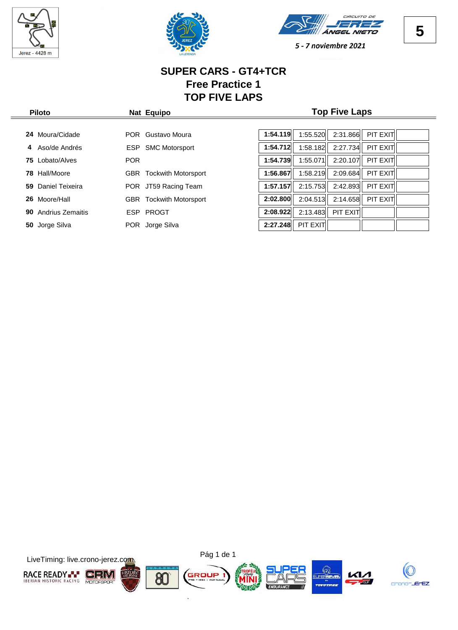

 $\frac{1}{2}$ 





5 - 7 noviembre 2021

### **SUPER CARS - GT4+TCR Free Practice 1 TOP FIVE LAPS**

| <b>Piloto</b>           | Nat Equipo                        | <b>Top Five Laps</b>                         |  |  |  |  |  |  |
|-------------------------|-----------------------------------|----------------------------------------------|--|--|--|--|--|--|
|                         |                                   |                                              |  |  |  |  |  |  |
| Moura/Cidade<br>24      | Gustavo Moura<br>POR.             | 1:54.119<br>2:31.866<br>PIT EXIT<br>1:55.520 |  |  |  |  |  |  |
| Aso/de Andrés<br>4      | <b>SMC Motorsport</b><br>ESP.     | 1:54.712<br>2:27.734<br>PIT EXIT<br>1:58.182 |  |  |  |  |  |  |
| <b>75</b> Lobato/Alves  | <b>POR</b>                        | 1:54.739<br>1:55.071<br>2:20.107<br>PIT EXIT |  |  |  |  |  |  |
| Hall/Moore<br>78        | <b>Tockwith Motorsport</b><br>GBR | PIT EXIT<br>1:56.867<br>1:58.219<br>2:09.684 |  |  |  |  |  |  |
| Daniel Teixeira<br>59.  | POR JT59 Racing Team              | 1:57.157<br>PIT EXIT<br>2:15.753<br>2:42.893 |  |  |  |  |  |  |
| 26 Moore/Hall           | <b>Tockwith Motorsport</b><br>GBR | PIT EXIT<br>2:14.658<br>2:04.513<br>2:02.800 |  |  |  |  |  |  |
| Andrius Zemaitis<br>90. | ESP PROGT                         | PIT EXIT<br>2:13.483<br>2:08.922             |  |  |  |  |  |  |
| Jorge Silva<br>50       | Jorge Silva<br><b>POR</b>         | PIT EXIT<br>2:27.248                         |  |  |  |  |  |  |
|                         |                                   |                                              |  |  |  |  |  |  |



**5**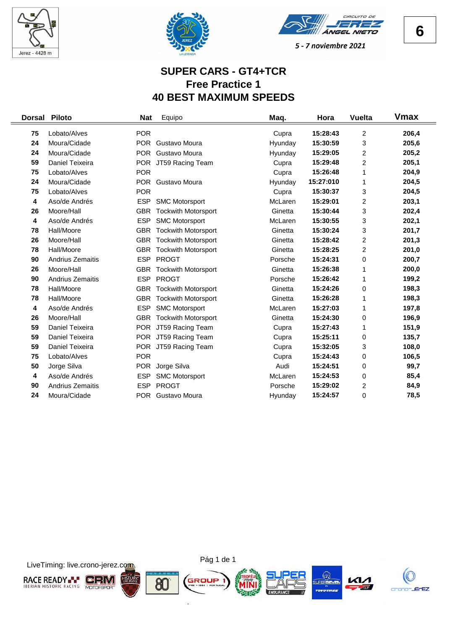





### **SUPER CARS - GT4+TCR Free Practice 1 40 BEST MAXIMUM SPEEDS**

| <b>Dorsal</b> | <b>Piloto</b>           | <b>Nat</b> | Equipo                         | Maq.    | Hora      | <b>Vuelta</b>  | Vmax  |
|---------------|-------------------------|------------|--------------------------------|---------|-----------|----------------|-------|
| 75            | Lobato/Alves            | <b>POR</b> |                                | Cupra   | 15:28:43  | $\overline{c}$ | 206,4 |
| 24            | Moura/Cidade            | <b>POR</b> | Gustavo Moura                  | Hyunday | 15:30:59  | 3              | 205,6 |
| 24            | Moura/Cidade            | <b>POR</b> | Gustavo Moura                  | Hyunday | 15:29:05  | $\overline{c}$ | 205,2 |
| 59            | Daniel Teixeira         |            | POR JT59 Racing Team           | Cupra   | 15:29:48  | $\overline{c}$ | 205,1 |
| 75            | Lobato/Alves            | <b>POR</b> |                                | Cupra   | 15:26:48  | 1              | 204,9 |
| 24            | Moura/Cidade            | <b>POR</b> | Gustavo Moura                  | Hyunday | 15:27:010 | 1              | 204,5 |
| 75            | Lobato/Alves            | <b>POR</b> |                                |         | 15:30:37  | 3              | 204,5 |
| 4             | Aso/de Andrés           |            |                                | Cupra   | 15:29:01  |                | 203,1 |
|               |                         | <b>ESP</b> | <b>SMC Motorsport</b>          | McLaren |           | 2              |       |
| 26            | Moore/Hall              | <b>GBR</b> | <b>Tockwith Motorsport</b>     | Ginetta | 15:30:44  | 3              | 202,4 |
| 4             | Aso/de Andrés           | <b>ESP</b> | <b>SMC Motorsport</b>          | McLaren | 15:30:55  | 3              | 202,1 |
| 78            | Hall/Moore              | <b>GBR</b> | <b>Tockwith Motorsport</b>     | Ginetta | 15:30:24  | 3              | 201,7 |
| 26            | Moore/Hall              |            | <b>GBR</b> Tockwith Motorsport | Ginetta | 15:28:42  | 2              | 201,3 |
| 78            | Hall/Moore              | <b>GBR</b> | <b>Tockwith Motorsport</b>     | Ginetta | 15:28:25  | $\overline{c}$ | 201,0 |
| 90            | <b>Andrius Zemaitis</b> | <b>ESP</b> | <b>PROGT</b>                   | Porsche | 15:24:31  | 0              | 200,7 |
| 26            | Moore/Hall              | <b>GBR</b> | <b>Tockwith Motorsport</b>     | Ginetta | 15:26:38  | 1              | 200,0 |
| 90            | Andrius Zemaitis        | <b>ESP</b> | <b>PROGT</b>                   | Porsche | 15:26:42  | 1              | 199,2 |
| 78            | Hall/Moore              | <b>GBR</b> | <b>Tockwith Motorsport</b>     | Ginetta | 15:24:26  | $\,0\,$        | 198,3 |
| 78            | Hall/Moore              | <b>GBR</b> | <b>Tockwith Motorsport</b>     | Ginetta | 15:26:28  | 1              | 198,3 |
| 4             | Aso/de Andrés           | <b>ESP</b> | <b>SMC Motorsport</b>          | McLaren | 15:27:03  | 1              | 197,8 |
| 26            | Moore/Hall              | <b>GBR</b> | <b>Tockwith Motorsport</b>     | Ginetta | 15:24:30  | 0              | 196,9 |
| 59            | Daniel Teixeira         |            | POR JT59 Racing Team           | Cupra   | 15:27:43  | 1              | 151,9 |
| 59            | Daniel Teixeira         |            | POR JT59 Racing Team           | Cupra   | 15:25:11  | 0              | 135,7 |
| 59            | Daniel Teixeira         |            | POR JT59 Racing Team           | Cupra   | 15:32:05  | 3              | 108,0 |
| 75            | Lobato/Alves            | <b>POR</b> |                                | Cupra   | 15:24:43  | 0              | 106,5 |
| 50            | Jorge Silva             | <b>POR</b> | Jorge Silva                    | Audi    | 15:24:51  | 0              | 99,7  |
| 4             | Aso/de Andrés           | <b>ESP</b> | <b>SMC Motorsport</b>          | McLaren | 15:24:53  | 0              | 85,4  |
| 90            | <b>Andrius Zemaitis</b> | <b>ESP</b> | <b>PROGT</b>                   | Porsche | 15:29:02  | 2              | 84,9  |
| 24            | Moura/Cidade            |            | POR Gustavo Moura              | Hyunday | 15:24:57  | 0              | 78,5  |





Pág 1 de 1

ò.